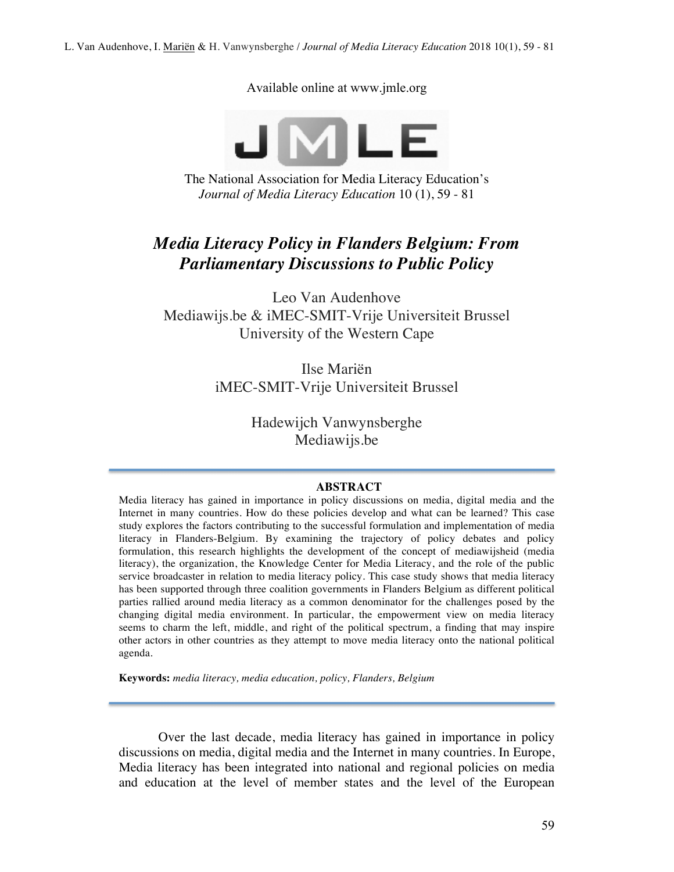L. Van Audenhove, I. Mariën & H. Vanwynsberghe / *Journal of Media Literacy Education* 2018 10(1), 59 - 81

Available online at www.jmle.org



The National Association for Media Literacy Education's *Journal of Media Literacy Education* 10 (1), 59 - 81

# *Media Literacy Policy in Flanders Belgium: From Parliamentary Discussions to Public Policy*

Leo Van Audenhove Mediawijs.be & iMEC-SMIT-Vrije Universiteit Brussel University of the Western Cape

> Ilse Mariën iMEC-SMIT-Vrije Universiteit Brussel

> > Hadewijch Vanwynsberghe Mediawijs.be

### **ABSTRACT**

Media literacy has gained in importance in policy discussions on media, digital media and the Internet in many countries. How do these policies develop and what can be learned? This case study explores the factors contributing to the successful formulation and implementation of media literacy in Flanders-Belgium. By examining the trajectory of policy debates and policy formulation, this research highlights the development of the concept of mediawijsheid (media literacy), the organization, the Knowledge Center for Media Literacy, and the role of the public service broadcaster in relation to media literacy policy. This case study shows that media literacy has been supported through three coalition governments in Flanders Belgium as different political parties rallied around media literacy as a common denominator for the challenges posed by the changing digital media environment. In particular, the empowerment view on media literacy seems to charm the left, middle, and right of the political spectrum, a finding that may inspire other actors in other countries as they attempt to move media literacy onto the national political agenda.

**Keywords:** *media literacy, media education, policy, Flanders, Belgium*

Over the last decade, media literacy has gained in importance in policy discussions on media, digital media and the Internet in many countries. In Europe, Media literacy has been integrated into national and regional policies on media and education at the level of member states and the level of the European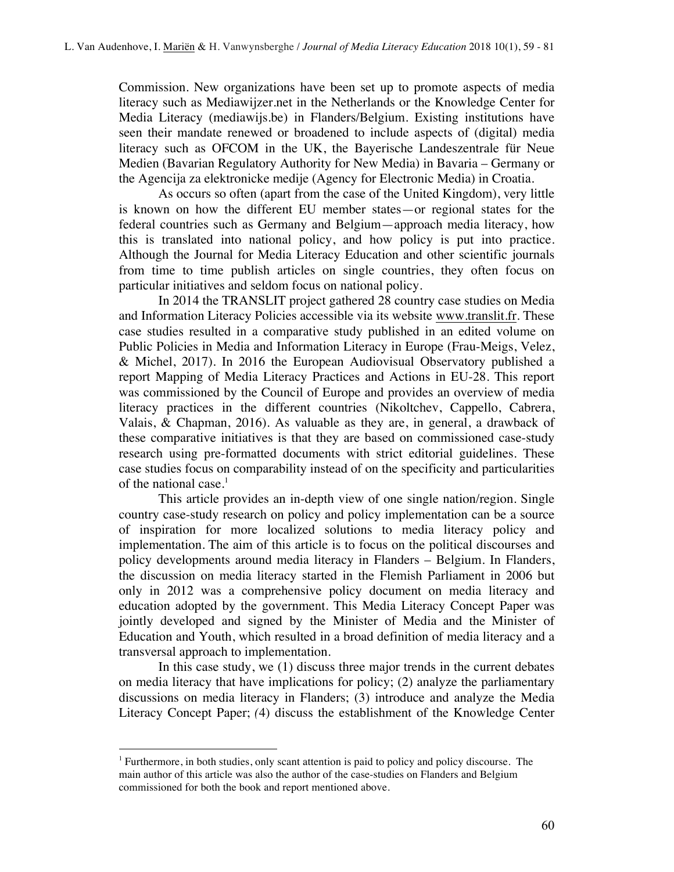Commission. New organizations have been set up to promote aspects of media literacy such as Mediawijzer.net in the Netherlands or the Knowledge Center for Media Literacy (mediawijs.be) in Flanders/Belgium. Existing institutions have seen their mandate renewed or broadened to include aspects of (digital) media literacy such as OFCOM in the UK, the Bayerische Landeszentrale für Neue Medien (Bavarian Regulatory Authority for New Media) in Bavaria – Germany or the Agencija za elektronicke medije (Agency for Electronic Media) in Croatia.

As occurs so often (apart from the case of the United Kingdom), very little is known on how the different EU member states—or regional states for the federal countries such as Germany and Belgium—approach media literacy, how this is translated into national policy, and how policy is put into practice. Although the Journal for Media Literacy Education and other scientific journals from time to time publish articles on single countries, they often focus on particular initiatives and seldom focus on national policy.

In 2014 the TRANSLIT project gathered 28 country case studies on Media and Information Literacy Policies accessible via its website www.translit.fr. These case studies resulted in a comparative study published in an edited volume on Public Policies in Media and Information Literacy in Europe (Frau-Meigs, Velez, & Michel, 2017). In 2016 the European Audiovisual Observatory published a report Mapping of Media Literacy Practices and Actions in EU-28. This report was commissioned by the Council of Europe and provides an overview of media literacy practices in the different countries (Nikoltchev, Cappello, Cabrera, Valais, & Chapman, 2016). As valuable as they are, in general, a drawback of these comparative initiatives is that they are based on commissioned case-study research using pre-formatted documents with strict editorial guidelines. These case studies focus on comparability instead of on the specificity and particularities of the national case. $<sup>1</sup>$ </sup>

This article provides an in-depth view of one single nation/region. Single country case-study research on policy and policy implementation can be a source of inspiration for more localized solutions to media literacy policy and implementation*.* The aim of this article is to focus on the political discourses and policy developments around media literacy in Flanders – Belgium. In Flanders, the discussion on media literacy started in the Flemish Parliament in 2006 but only in 2012 was a comprehensive policy document on media literacy and education adopted by the government. This Media Literacy Concept Paper was jointly developed and signed by the Minister of Media and the Minister of Education and Youth, which resulted in a broad definition of media literacy and a transversal approach to implementation.

In this case study, we (1) discuss three major trends in the current debates on media literacy that have implications for policy; (2) analyze the parliamentary discussions on media literacy in Flanders; (3) introduce and analyze the Media Literacy Concept Paper; *(*4) discuss the establishment of the Knowledge Center

 $\overline{a}$ 

<sup>1</sup> Furthermore, in both studies, only scant attention is paid to policy and policy discourse. The main author of this article was also the author of the case-studies on Flanders and Belgium commissioned for both the book and report mentioned above.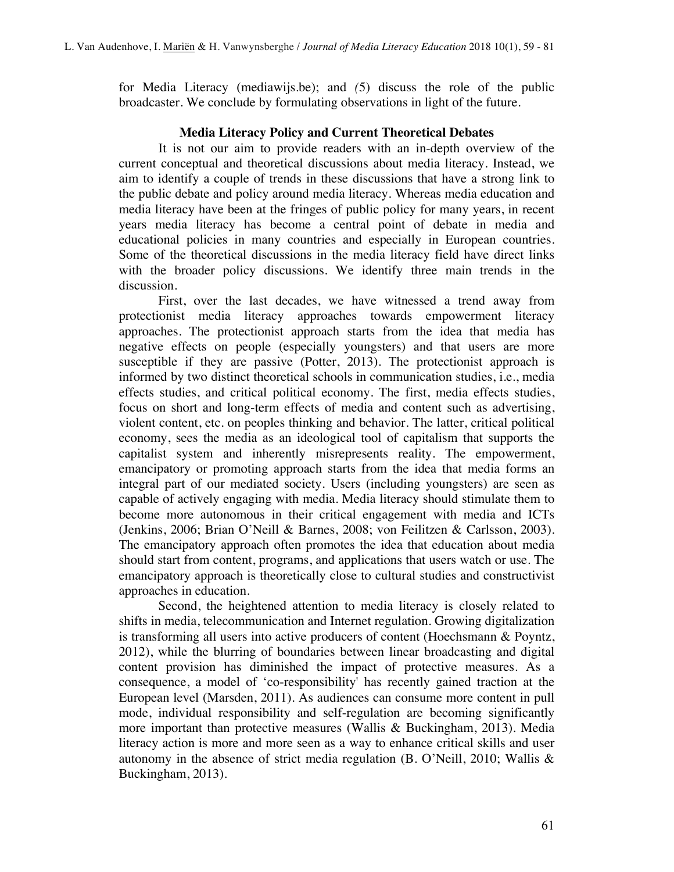for Media Literacy (mediawijs.be); and *(*5) discuss the role of the public broadcaster. We conclude by formulating observations in light of the future.

## **Media Literacy Policy and Current Theoretical Debates**

It is not our aim to provide readers with an in-depth overview of the current conceptual and theoretical discussions about media literacy. Instead, we aim to identify a couple of trends in these discussions that have a strong link to the public debate and policy around media literacy. Whereas media education and media literacy have been at the fringes of public policy for many years, in recent years media literacy has become a central point of debate in media and educational policies in many countries and especially in European countries. Some of the theoretical discussions in the media literacy field have direct links with the broader policy discussions. We identify three main trends in the discussion.

First, over the last decades, we have witnessed a trend away from protectionist media literacy approaches towards empowerment literacy approaches. The protectionist approach starts from the idea that media has negative effects on people (especially youngsters) and that users are more susceptible if they are passive (Potter, 2013). The protectionist approach is informed by two distinct theoretical schools in communication studies, i.e., media effects studies, and critical political economy. The first, media effects studies, focus on short and long-term effects of media and content such as advertising, violent content, etc. on peoples thinking and behavior. The latter, critical political economy, sees the media as an ideological tool of capitalism that supports the capitalist system and inherently misrepresents reality. The empowerment, emancipatory or promoting approach starts from the idea that media forms an integral part of our mediated society. Users (including youngsters) are seen as capable of actively engaging with media. Media literacy should stimulate them to become more autonomous in their critical engagement with media and ICTs (Jenkins, 2006; Brian O'Neill & Barnes, 2008; von Feilitzen & Carlsson, 2003). The emancipatory approach often promotes the idea that education about media should start from content, programs, and applications that users watch or use. The emancipatory approach is theoretically close to cultural studies and constructivist approaches in education.

Second, the heightened attention to media literacy is closely related to shifts in media, telecommunication and Internet regulation. Growing digitalization is transforming all users into active producers of content (Hoechsmann & Poyntz, 2012), while the blurring of boundaries between linear broadcasting and digital content provision has diminished the impact of protective measures. As a consequence, a model of 'co-responsibility' has recently gained traction at the European level (Marsden, 2011). As audiences can consume more content in pull mode, individual responsibility and self-regulation are becoming significantly more important than protective measures (Wallis & Buckingham, 2013). Media literacy action is more and more seen as a way to enhance critical skills and user autonomy in the absence of strict media regulation (B. O'Neill, 2010; Wallis & Buckingham, 2013).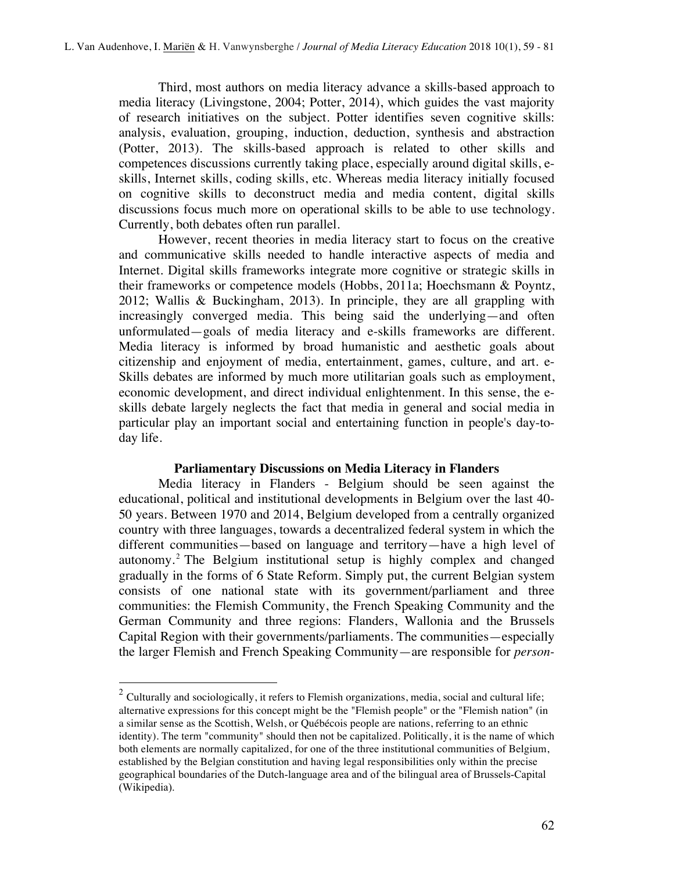Third, most authors on media literacy advance a skills-based approach to media literacy (Livingstone, 2004; Potter, 2014), which guides the vast majority of research initiatives on the subject. Potter identifies seven cognitive skills: analysis, evaluation, grouping, induction, deduction, synthesis and abstraction (Potter, 2013). The skills-based approach is related to other skills and competences discussions currently taking place, especially around digital skills, eskills, Internet skills, coding skills, etc. Whereas media literacy initially focused on cognitive skills to deconstruct media and media content, digital skills discussions focus much more on operational skills to be able to use technology. Currently, both debates often run parallel.

However, recent theories in media literacy start to focus on the creative and communicative skills needed to handle interactive aspects of media and Internet. Digital skills frameworks integrate more cognitive or strategic skills in their frameworks or competence models (Hobbs, 2011a; Hoechsmann & Poyntz, 2012; Wallis & Buckingham, 2013). In principle, they are all grappling with increasingly converged media. This being said the underlying—and often unformulated—goals of media literacy and e-skills frameworks are different. Media literacy is informed by broad humanistic and aesthetic goals about citizenship and enjoyment of media, entertainment, games, culture, and art. e-Skills debates are informed by much more utilitarian goals such as employment, economic development, and direct individual enlightenment. In this sense, the eskills debate largely neglects the fact that media in general and social media in particular play an important social and entertaining function in people's day-today life.

#### **Parliamentary Discussions on Media Literacy in Flanders**

Media literacy in Flanders - Belgium should be seen against the educational, political and institutional developments in Belgium over the last 40- 50 years. Between 1970 and 2014, Belgium developed from a centrally organized country with three languages, towards a decentralized federal system in which the different communities—based on language and territory—have a high level of autonomy. <sup>2</sup> The Belgium institutional setup is highly complex and changed gradually in the forms of 6 State Reform. Simply put, the current Belgian system consists of one national state with its government/parliament and three communities: the Flemish Community, the French Speaking Community and the German Community and three regions: Flanders, Wallonia and the Brussels Capital Region with their governments/parliaments. The communities—especially the larger Flemish and French Speaking Community—are responsible for *person-*

<sup>&</sup>lt;sup>2</sup> Culturally and sociologically, it refers to Flemish organizations, media, social and cultural life; alternative expressions for this concept might be the "Flemish people" or the "Flemish nation" (in a similar sense as the Scottish, Welsh, or Québécois people are nations, referring to an ethnic identity). The term "community" should then not be capitalized. Politically, it is the name of which both elements are normally capitalized, for one of the three institutional communities of Belgium, established by the Belgian constitution and having legal responsibilities only within the precise geographical boundaries of the Dutch-language area and of the bilingual area of Brussels-Capital (Wikipedia).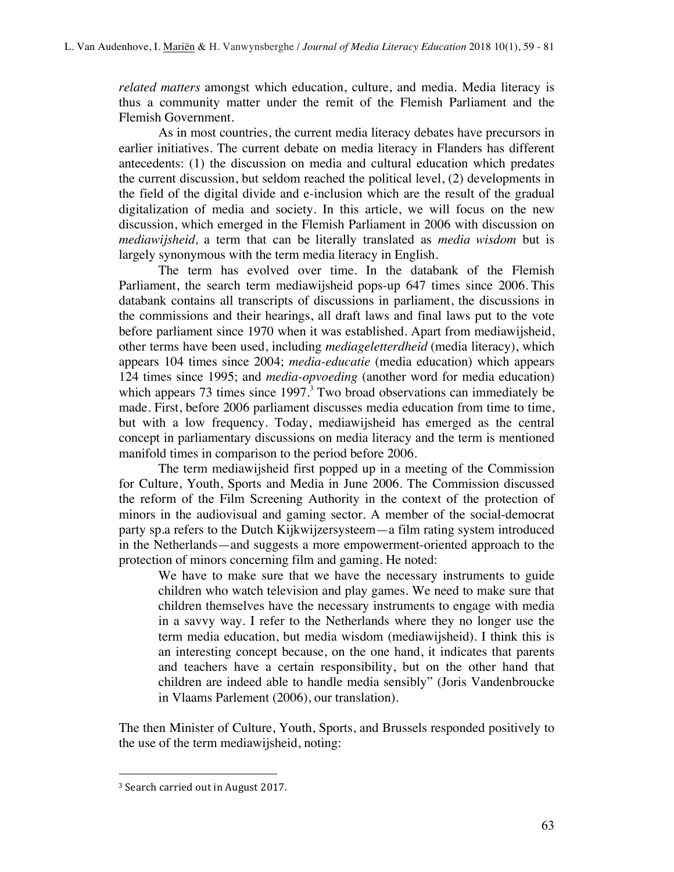*related matters* amongst which education, culture, and media. Media literacy is thus a community matter under the remit of the Flemish Parliament and the Flemish Government.

As in most countries, the current media literacy debates have precursors in earlier initiatives. The current debate on media literacy in Flanders has different antecedents: (1) the discussion on media and cultural education which predates the current discussion, but seldom reached the political level, (2) developments in the field of the digital divide and e-inclusion which are the result of the gradual digitalization of media and society. In this article, we will focus on the new discussion, which emerged in the Flemish Parliament in 2006 with discussion on *mediawijsheid,* a term that can be literally translated as *media wisdom* but is largely synonymous with the term media literacy in English.

The term has evolved over time. In the databank of the Flemish Parliament, the search term mediawijsheid pops-up 647 times since 2006. This databank contains all transcripts of discussions in parliament, the discussions in the commissions and their hearings, all draft laws and final laws put to the vote before parliament since 1970 when it was established. Apart from mediawijsheid, other terms have been used, including *mediageletterdheid* (media literacy), which appears 104 times since 2004; *media-educatie* (media education) which appears 124 times since 1995; and *media-opvoeding* (another word for media education) which appears 73 times since  $1997<sup>3</sup>$  Two broad observations can immediately be made. First, before 2006 parliament discusses media education from time to time, but with a low frequency. Today, mediawijsheid has emerged as the central concept in parliamentary discussions on media literacy and the term is mentioned manifold times in comparison to the period before 2006.

The term mediawijsheid first popped up in a meeting of the Commission for Culture, Youth, Sports and Media in June 2006. The Commission discussed the reform of the Film Screening Authority in the context of the protection of minors in the audiovisual and gaming sector. A member of the social-democrat party sp.a refers to the Dutch Kijkwijzersysteem—a film rating system introduced in the Netherlands—and suggests a more empowerment-oriented approach to the protection of minors concerning film and gaming. He noted:

We have to make sure that we have the necessary instruments to guide children who watch television and play games. We need to make sure that children themselves have the necessary instruments to engage with media in a savvy way. I refer to the Netherlands where they no longer use the term media education, but media wisdom (mediawijsheid). I think this is an interesting concept because, on the one hand, it indicates that parents and teachers have a certain responsibility, but on the other hand that children are indeed able to handle media sensibly" (Joris Vandenbroucke in Vlaams Parlement (2006), our translation).

The then Minister of Culture, Youth, Sports, and Brussels responded positively to the use of the term mediawijsheid, noting:

 $\overline{a}$ 

<sup>&</sup>lt;sup>3</sup> Search carried out in August 2017.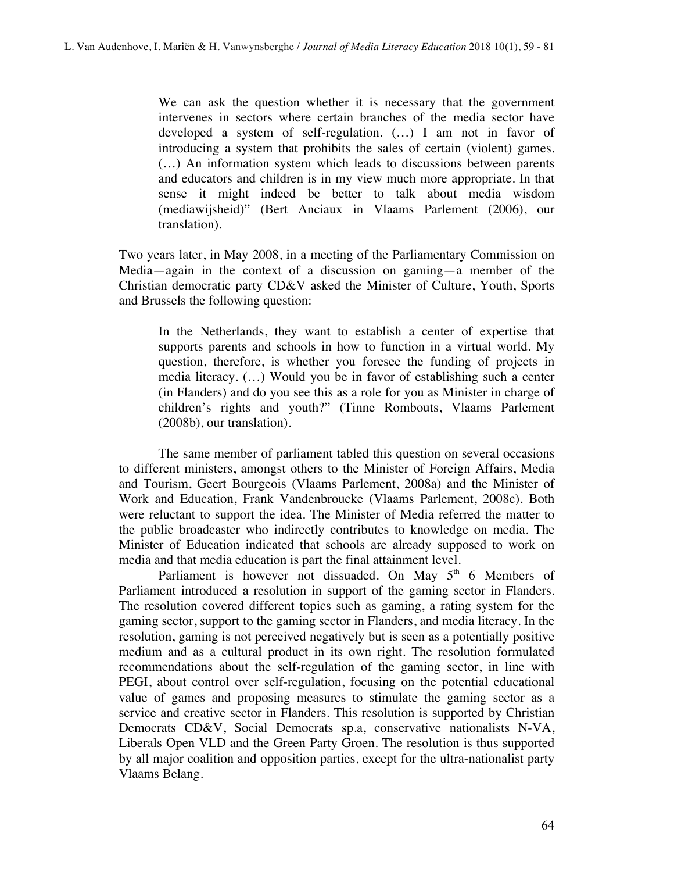We can ask the question whether it is necessary that the government intervenes in sectors where certain branches of the media sector have developed a system of self-regulation. (…) I am not in favor of introducing a system that prohibits the sales of certain (violent) games. (…) An information system which leads to discussions between parents and educators and children is in my view much more appropriate. In that sense it might indeed be better to talk about media wisdom (mediawijsheid)" (Bert Anciaux in Vlaams Parlement (2006), our translation).

Two years later, in May 2008, in a meeting of the Parliamentary Commission on Media—again in the context of a discussion on gaming—a member of the Christian democratic party CD&V asked the Minister of Culture, Youth, Sports and Brussels the following question:

In the Netherlands, they want to establish a center of expertise that supports parents and schools in how to function in a virtual world. My question, therefore, is whether you foresee the funding of projects in media literacy. (…) Would you be in favor of establishing such a center (in Flanders) and do you see this as a role for you as Minister in charge of children's rights and youth?" (Tinne Rombouts, Vlaams Parlement (2008b), our translation).

The same member of parliament tabled this question on several occasions to different ministers, amongst others to the Minister of Foreign Affairs, Media and Tourism, Geert Bourgeois (Vlaams Parlement, 2008a) and the Minister of Work and Education, Frank Vandenbroucke (Vlaams Parlement, 2008c). Both were reluctant to support the idea. The Minister of Media referred the matter to the public broadcaster who indirectly contributes to knowledge on media. The Minister of Education indicated that schools are already supposed to work on media and that media education is part the final attainment level.

Parliament is however not dissuaded. On May  $5<sup>th</sup>$  6 Members of Parliament introduced a resolution in support of the gaming sector in Flanders. The resolution covered different topics such as gaming, a rating system for the gaming sector, support to the gaming sector in Flanders, and media literacy. In the resolution, gaming is not perceived negatively but is seen as a potentially positive medium and as a cultural product in its own right. The resolution formulated recommendations about the self-regulation of the gaming sector, in line with PEGI, about control over self-regulation, focusing on the potential educational value of games and proposing measures to stimulate the gaming sector as a service and creative sector in Flanders. This resolution is supported by Christian Democrats CD&V, Social Democrats sp.a, conservative nationalists N-VA, Liberals Open VLD and the Green Party Groen. The resolution is thus supported by all major coalition and opposition parties, except for the ultra-nationalist party Vlaams Belang.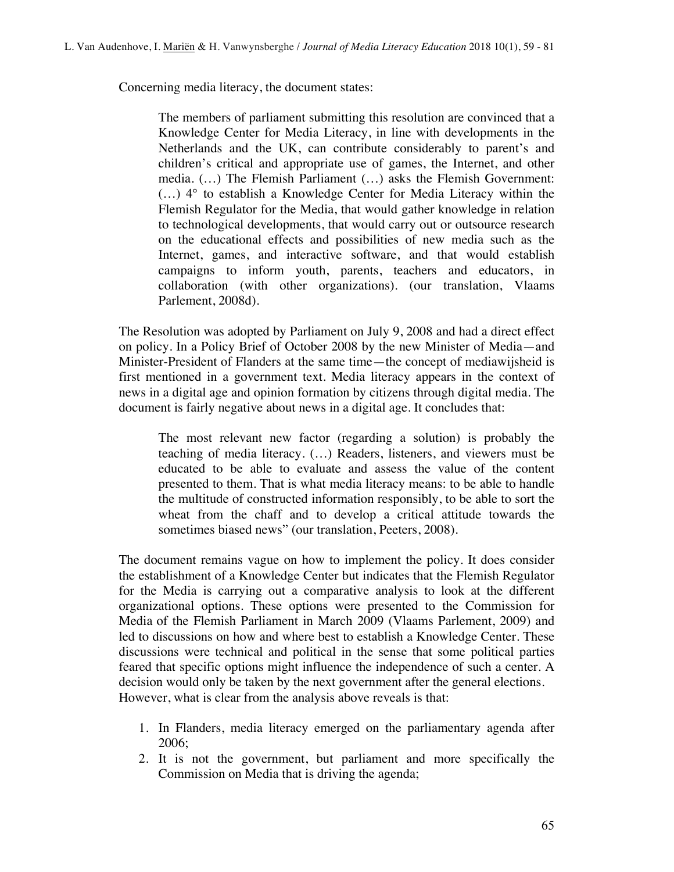Concerning media literacy, the document states:

The members of parliament submitting this resolution are convinced that a Knowledge Center for Media Literacy, in line with developments in the Netherlands and the UK, can contribute considerably to parent's and children's critical and appropriate use of games, the Internet, and other media. (…) The Flemish Parliament (…) asks the Flemish Government: (…) 4° to establish a Knowledge Center for Media Literacy within the Flemish Regulator for the Media, that would gather knowledge in relation to technological developments, that would carry out or outsource research on the educational effects and possibilities of new media such as the Internet, games, and interactive software, and that would establish campaigns to inform youth, parents, teachers and educators, in collaboration (with other organizations). (our translation, Vlaams Parlement, 2008d).

The Resolution was adopted by Parliament on July 9, 2008 and had a direct effect on policy. In a Policy Brief of October 2008 by the new Minister of Media—and Minister-President of Flanders at the same time—the concept of mediawijsheid is first mentioned in a government text. Media literacy appears in the context of news in a digital age and opinion formation by citizens through digital media. The document is fairly negative about news in a digital age. It concludes that:

The most relevant new factor (regarding a solution) is probably the teaching of media literacy. (…) Readers, listeners, and viewers must be educated to be able to evaluate and assess the value of the content presented to them. That is what media literacy means: to be able to handle the multitude of constructed information responsibly, to be able to sort the wheat from the chaff and to develop a critical attitude towards the sometimes biased news" (our translation, Peeters, 2008).

The document remains vague on how to implement the policy. It does consider the establishment of a Knowledge Center but indicates that the Flemish Regulator for the Media is carrying out a comparative analysis to look at the different organizational options. These options were presented to the Commission for Media of the Flemish Parliament in March 2009 (Vlaams Parlement, 2009) and led to discussions on how and where best to establish a Knowledge Center. These discussions were technical and political in the sense that some political parties feared that specific options might influence the independence of such a center. A decision would only be taken by the next government after the general elections. However, what is clear from the analysis above reveals is that:

- 1. In Flanders, media literacy emerged on the parliamentary agenda after 2006;
- 2. It is not the government, but parliament and more specifically the Commission on Media that is driving the agenda;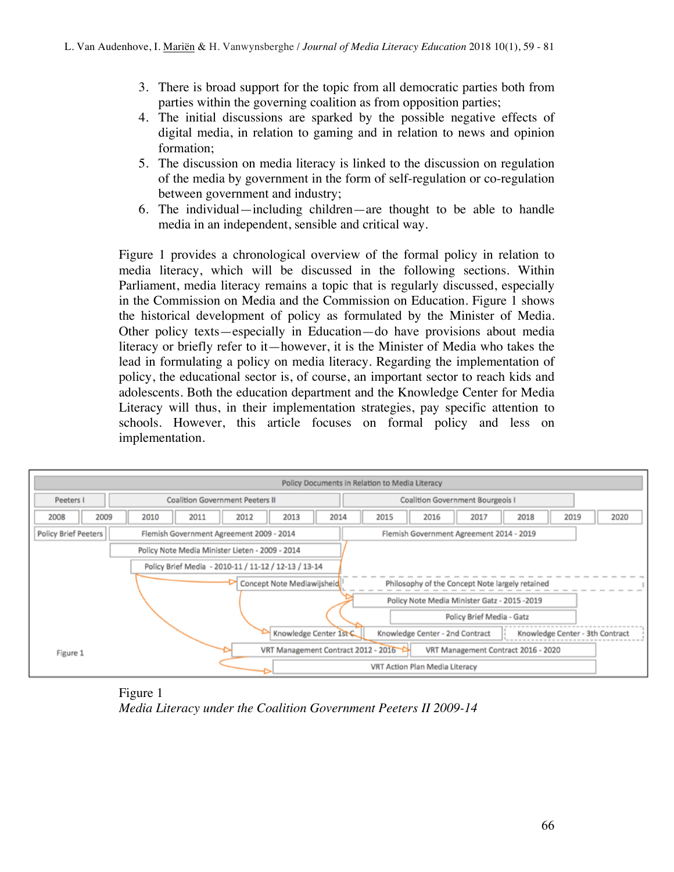- 3. There is broad support for the topic from all democratic parties both from parties within the governing coalition as from opposition parties;
- 4. The initial discussions are sparked by the possible negative effects of digital media, in relation to gaming and in relation to news and opinion formation;
- 5. The discussion on media literacy is linked to the discussion on regulation of the media by government in the form of self-regulation or co-regulation between government and industry;
- 6. The individual—including children—are thought to be able to handle media in an independent, sensible and critical way.

Figure 1 provides a chronological overview of the formal policy in relation to media literacy, which will be discussed in the following sections. Within Parliament, media literacy remains a topic that is regularly discussed, especially in the Commission on Media and the Commission on Education. Figure 1 shows the historical development of policy as formulated by the Minister of Media. Other policy texts—especially in Education—do have provisions about media literacy or briefly refer to it—however, it is the Minister of Media who takes the lead in formulating a policy on media literacy. Regarding the implementation of policy, the educational sector is, of course, an important sector to reach kids and adolescents. Both the education department and the Knowledge Center for Media Literacy will thus, in their implementation strategies, pay specific attention to schools. However, this article focuses on formal policy and less on implementation.



Figure 1 *Media Literacy under the Coalition Government Peeters II 2009-14*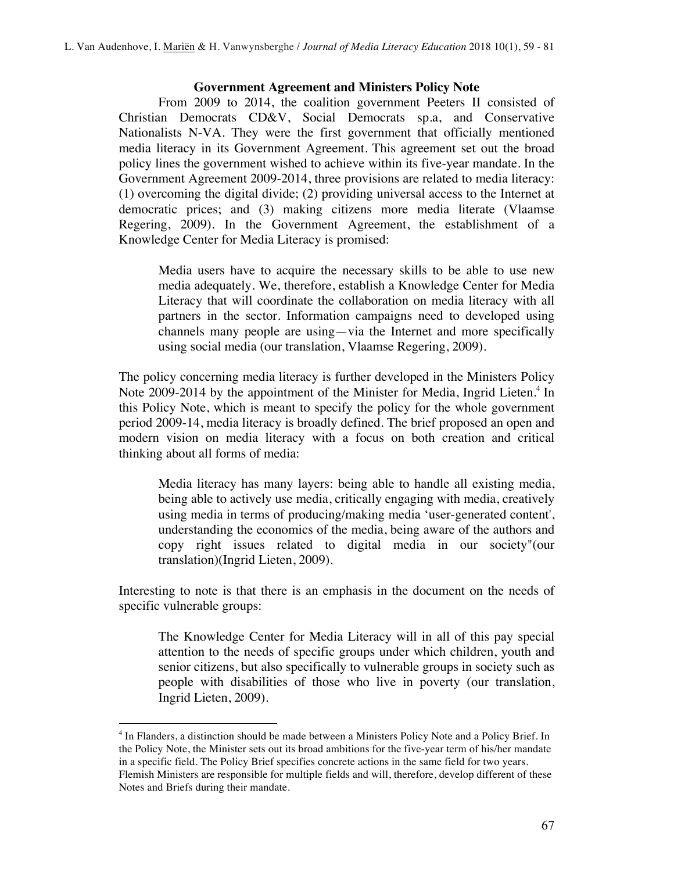### **Government Agreement and Ministers Policy Note**

From 2009 to 2014, the coalition government Peeters II consisted of Christian Democrats CD&V, Social Democrats sp.a, and Conservative Nationalists N-VA. They were the first government that officially mentioned media literacy in its Government Agreement. This agreement set out the broad policy lines the government wished to achieve within its five-year mandate. In the Government Agreement 2009-2014, three provisions are related to media literacy: (1) overcoming the digital divide; (2) providing universal access to the Internet at democratic prices; and (3) making citizens more media literate (Vlaamse Regering, 2009). In the Government Agreement, the establishment of a Knowledge Center for Media Literacy is promised:

Media users have to acquire the necessary skills to be able to use new media adequately. We, therefore, establish a Knowledge Center for Media Literacy that will coordinate the collaboration on media literacy with all partners in the sector. Information campaigns need to developed using channels many people are using—via the Internet and more specifically using social media (our translation, Vlaamse Regering, 2009).

The policy concerning media literacy is further developed in the Ministers Policy Note 2009-2014 by the appointment of the Minister for Media, Ingrid Lieten.<sup>4</sup> In this Policy Note, which is meant to specify the policy for the whole government period 2009-14, media literacy is broadly defined. The brief proposed an open and modern vision on media literacy with a focus on both creation and critical thinking about all forms of media:

Media literacy has many layers: being able to handle all existing media, being able to actively use media, critically engaging with media, creatively using media in terms of producing/making media 'user-generated content', understanding the economics of the media, being aware of the authors and copy right issues related to digital media in our society"(our translation)(Ingrid Lieten, 2009).

Interesting to note is that there is an emphasis in the document on the needs of specific vulnerable groups:

The Knowledge Center for Media Literacy will in all of this pay special attention to the needs of specific groups under which children, youth and senior citizens, but also specifically to vulnerable groups in society such as people with disabilities of those who live in poverty (our translation, Ingrid Lieten, 2009).

 $\overline{a}$ 

<sup>4</sup> In Flanders, a distinction should be made between a Ministers Policy Note and a Policy Brief. In the Policy Note, the Minister sets out its broad ambitions for the five-year term of his/her mandate in a specific field. The Policy Brief specifies concrete actions in the same field for two years. Flemish Ministers are responsible for multiple fields and will, therefore, develop different of these Notes and Briefs during their mandate.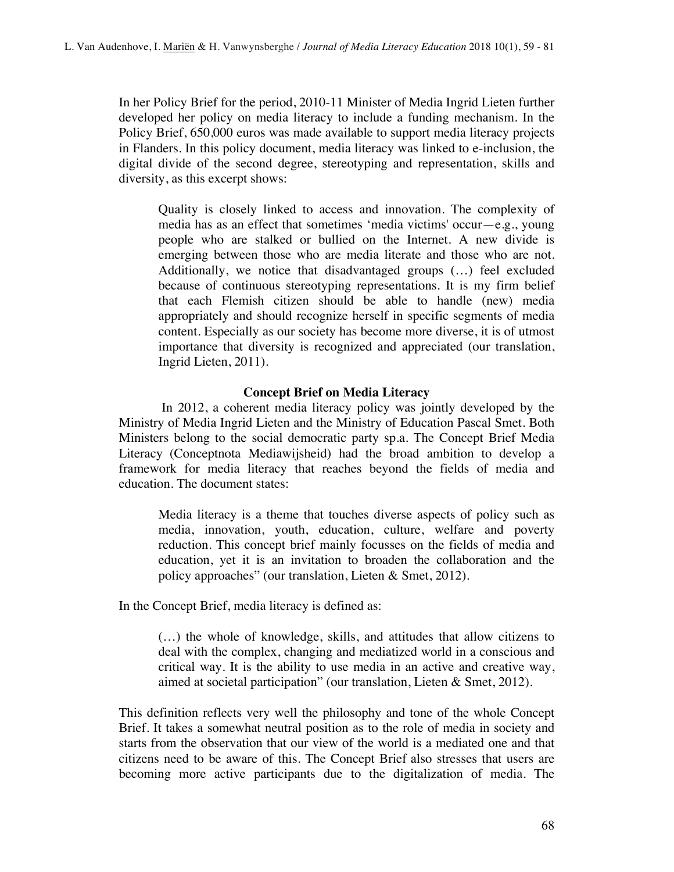In her Policy Brief for the period, 2010-11 Minister of Media Ingrid Lieten further developed her policy on media literacy to include a funding mechanism. In the Policy Brief, 650,000 euros was made available to support media literacy projects in Flanders. In this policy document, media literacy was linked to e-inclusion, the digital divide of the second degree, stereotyping and representation, skills and diversity, as this excerpt shows:

Quality is closely linked to access and innovation. The complexity of media has as an effect that sometimes 'media victims' occur—e.g., young people who are stalked or bullied on the Internet. A new divide is emerging between those who are media literate and those who are not. Additionally, we notice that disadvantaged groups (…) feel excluded because of continuous stereotyping representations. It is my firm belief that each Flemish citizen should be able to handle (new) media appropriately and should recognize herself in specific segments of media content. Especially as our society has become more diverse, it is of utmost importance that diversity is recognized and appreciated (our translation, Ingrid Lieten, 2011).

## **Concept Brief on Media Literacy**

In 2012, a coherent media literacy policy was jointly developed by the Ministry of Media Ingrid Lieten and the Ministry of Education Pascal Smet. Both Ministers belong to the social democratic party sp.a. The Concept Brief Media Literacy (Conceptnota Mediawijsheid) had the broad ambition to develop a framework for media literacy that reaches beyond the fields of media and education. The document states:

Media literacy is a theme that touches diverse aspects of policy such as media, innovation, youth, education, culture, welfare and poverty reduction. This concept brief mainly focusses on the fields of media and education, yet it is an invitation to broaden the collaboration and the policy approaches" (our translation, Lieten & Smet, 2012).

In the Concept Brief, media literacy is defined as:

(…) the whole of knowledge, skills, and attitudes that allow citizens to deal with the complex, changing and mediatized world in a conscious and critical way. It is the ability to use media in an active and creative way, aimed at societal participation" (our translation, Lieten & Smet, 2012).

This definition reflects very well the philosophy and tone of the whole Concept Brief. It takes a somewhat neutral position as to the role of media in society and starts from the observation that our view of the world is a mediated one and that citizens need to be aware of this. The Concept Brief also stresses that users are becoming more active participants due to the digitalization of media. The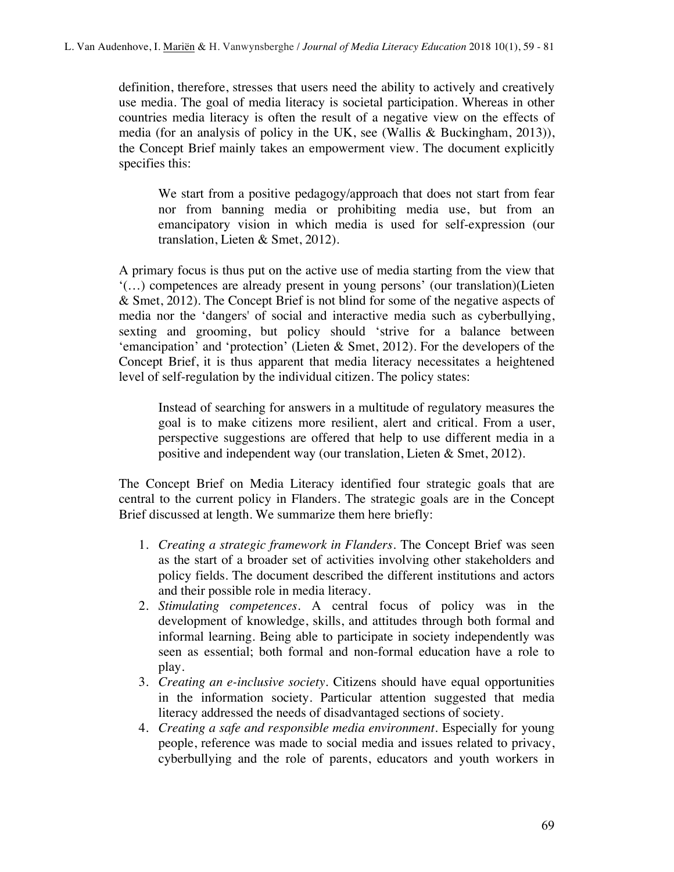definition, therefore, stresses that users need the ability to actively and creatively use media. The goal of media literacy is societal participation. Whereas in other countries media literacy is often the result of a negative view on the effects of media (for an analysis of policy in the UK, see (Wallis & Buckingham, 2013)), the Concept Brief mainly takes an empowerment view. The document explicitly specifies this:

We start from a positive pedagogy/approach that does not start from fear nor from banning media or prohibiting media use, but from an emancipatory vision in which media is used for self-expression (our translation, Lieten & Smet, 2012).

A primary focus is thus put on the active use of media starting from the view that '(…) competences are already present in young persons' (our translation)(Lieten & Smet, 2012). The Concept Brief is not blind for some of the negative aspects of media nor the 'dangers' of social and interactive media such as cyberbullying, sexting and grooming, but policy should 'strive for a balance between 'emancipation' and 'protection' (Lieten & Smet, 2012). For the developers of the Concept Brief, it is thus apparent that media literacy necessitates a heightened level of self-regulation by the individual citizen. The policy states:

Instead of searching for answers in a multitude of regulatory measures the goal is to make citizens more resilient, alert and critical. From a user, perspective suggestions are offered that help to use different media in a positive and independent way (our translation, Lieten & Smet, 2012).

The Concept Brief on Media Literacy identified four strategic goals that are central to the current policy in Flanders. The strategic goals are in the Concept Brief discussed at length. We summarize them here briefly:

- 1. *Creating a strategic framework in Flanders*. The Concept Brief was seen as the start of a broader set of activities involving other stakeholders and policy fields. The document described the different institutions and actors and their possible role in media literacy.
- 2. *Stimulating competences*. A central focus of policy was in the development of knowledge, skills, and attitudes through both formal and informal learning. Being able to participate in society independently was seen as essential; both formal and non-formal education have a role to play.
- 3. *Creating an e-inclusive society*. Citizens should have equal opportunities in the information society. Particular attention suggested that media literacy addressed the needs of disadvantaged sections of society.
- 4. *Creating a safe and responsible media environment*. Especially for young people, reference was made to social media and issues related to privacy, cyberbullying and the role of parents, educators and youth workers in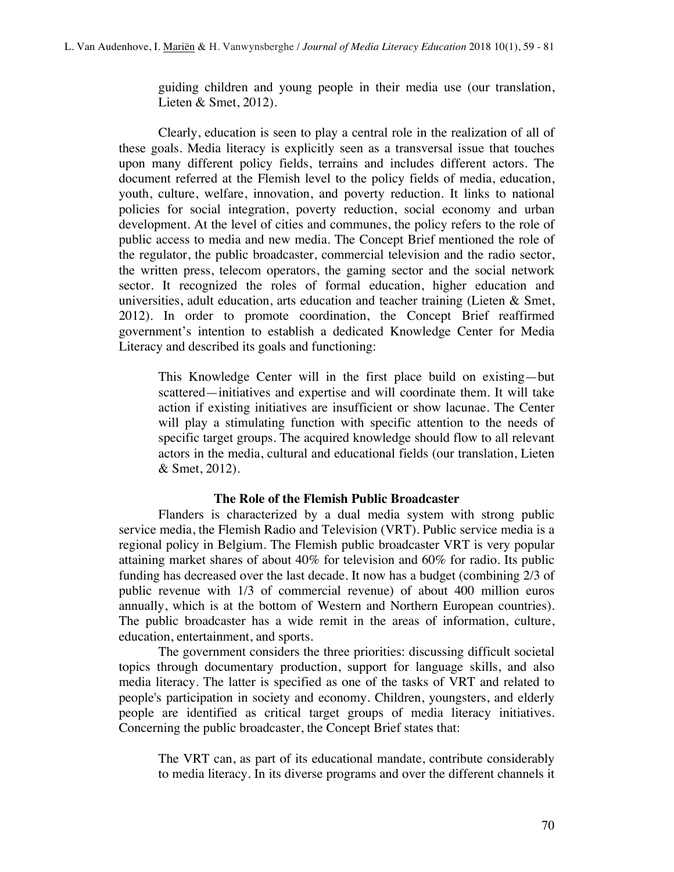guiding children and young people in their media use (our translation, Lieten & Smet, 2012).

Clearly, education is seen to play a central role in the realization of all of these goals. Media literacy is explicitly seen as a transversal issue that touches upon many different policy fields, terrains and includes different actors. The document referred at the Flemish level to the policy fields of media, education, youth, culture, welfare, innovation, and poverty reduction. It links to national policies for social integration, poverty reduction, social economy and urban development. At the level of cities and communes, the policy refers to the role of public access to media and new media. The Concept Brief mentioned the role of the regulator, the public broadcaster, commercial television and the radio sector, the written press, telecom operators, the gaming sector and the social network sector. It recognized the roles of formal education, higher education and universities, adult education, arts education and teacher training (Lieten  $&$  Smet, 2012). In order to promote coordination, the Concept Brief reaffirmed government's intention to establish a dedicated Knowledge Center for Media Literacy and described its goals and functioning:

This Knowledge Center will in the first place build on existing—but scattered—initiatives and expertise and will coordinate them. It will take action if existing initiatives are insufficient or show lacunae. The Center will play a stimulating function with specific attention to the needs of specific target groups. The acquired knowledge should flow to all relevant actors in the media, cultural and educational fields (our translation, Lieten & Smet, 2012).

### **The Role of the Flemish Public Broadcaster**

Flanders is characterized by a dual media system with strong public service media, the Flemish Radio and Television (VRT). Public service media is a regional policy in Belgium. The Flemish public broadcaster VRT is very popular attaining market shares of about 40% for television and 60% for radio. Its public funding has decreased over the last decade. It now has a budget (combining 2/3 of public revenue with 1/3 of commercial revenue) of about 400 million euros annually, which is at the bottom of Western and Northern European countries). The public broadcaster has a wide remit in the areas of information, culture, education, entertainment, and sports.

The government considers the three priorities: discussing difficult societal topics through documentary production, support for language skills, and also media literacy. The latter is specified as one of the tasks of VRT and related to people's participation in society and economy. Children, youngsters, and elderly people are identified as critical target groups of media literacy initiatives. Concerning the public broadcaster, the Concept Brief states that:

The VRT can, as part of its educational mandate, contribute considerably to media literacy. In its diverse programs and over the different channels it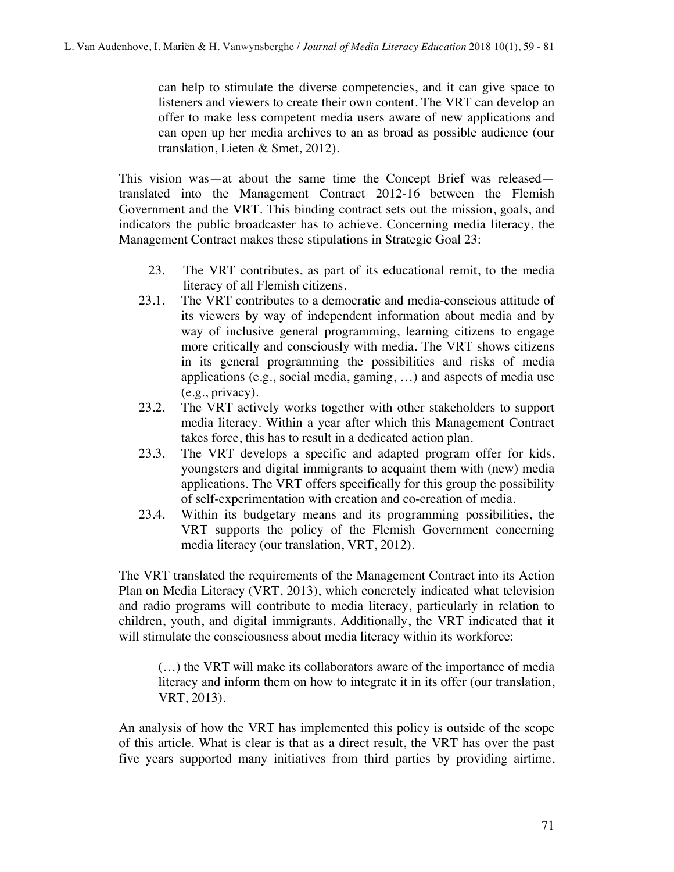can help to stimulate the diverse competencies, and it can give space to listeners and viewers to create their own content. The VRT can develop an offer to make less competent media users aware of new applications and can open up her media archives to an as broad as possible audience (our translation, Lieten & Smet, 2012).

This vision was—at about the same time the Concept Brief was released translated into the Management Contract 2012-16 between the Flemish Government and the VRT. This binding contract sets out the mission, goals, and indicators the public broadcaster has to achieve. Concerning media literacy, the Management Contract makes these stipulations in Strategic Goal 23:

- 23. The VRT contributes, as part of its educational remit, to the media literacy of all Flemish citizens.
- 23.1. The VRT contributes to a democratic and media-conscious attitude of its viewers by way of independent information about media and by way of inclusive general programming, learning citizens to engage more critically and consciously with media. The VRT shows citizens in its general programming the possibilities and risks of media applications (e.g., social media, gaming, …) and aspects of media use (e.g., privacy).
- 23.2. The VRT actively works together with other stakeholders to support media literacy. Within a year after which this Management Contract takes force, this has to result in a dedicated action plan.
- 23.3. The VRT develops a specific and adapted program offer for kids, youngsters and digital immigrants to acquaint them with (new) media applications. The VRT offers specifically for this group the possibility of self-experimentation with creation and co-creation of media.
- 23.4. Within its budgetary means and its programming possibilities, the VRT supports the policy of the Flemish Government concerning media literacy (our translation, VRT, 2012).

The VRT translated the requirements of the Management Contract into its Action Plan on Media Literacy (VRT, 2013), which concretely indicated what television and radio programs will contribute to media literacy, particularly in relation to children, youth, and digital immigrants. Additionally, the VRT indicated that it will stimulate the consciousness about media literacy within its workforce:

(…) the VRT will make its collaborators aware of the importance of media literacy and inform them on how to integrate it in its offer (our translation, VRT, 2013).

An analysis of how the VRT has implemented this policy is outside of the scope of this article. What is clear is that as a direct result, the VRT has over the past five years supported many initiatives from third parties by providing airtime,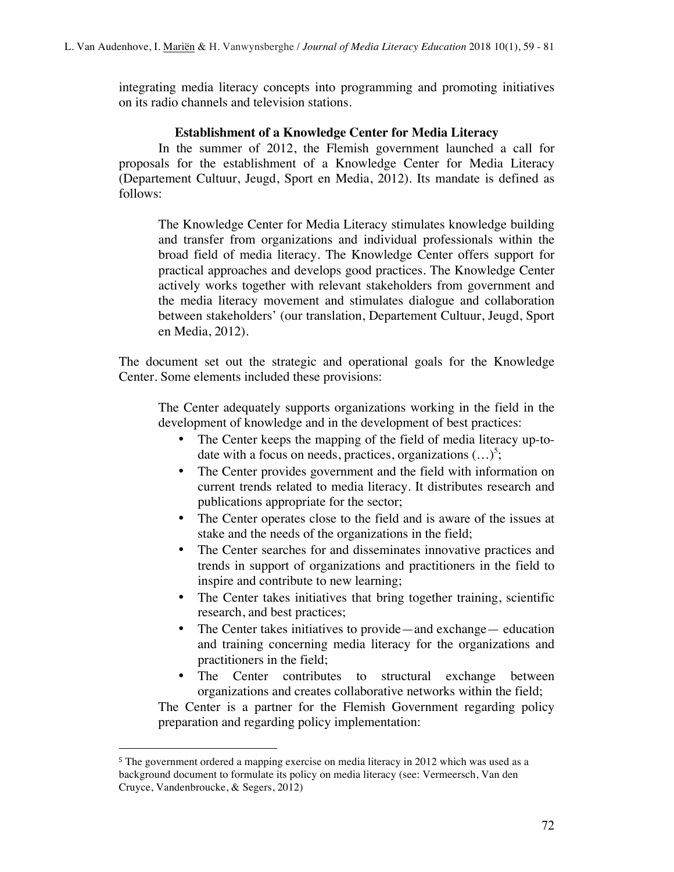integrating media literacy concepts into programming and promoting initiatives on its radio channels and television stations.

### **Establishment of a Knowledge Center for Media Literacy**

In the summer of 2012, the Flemish government launched a call for proposals for the establishment of a Knowledge Center for Media Literacy (Departement Cultuur, Jeugd, Sport en Media, 2012). Its mandate is defined as follows:

The Knowledge Center for Media Literacy stimulates knowledge building and transfer from organizations and individual professionals within the broad field of media literacy. The Knowledge Center offers support for practical approaches and develops good practices. The Knowledge Center actively works together with relevant stakeholders from government and the media literacy movement and stimulates dialogue and collaboration between stakeholders' (our translation, Departement Cultuur, Jeugd, Sport en Media, 2012).

The document set out the strategic and operational goals for the Knowledge Center. Some elements included these provisions:

The Center adequately supports organizations working in the field in the development of knowledge and in the development of best practices:

- The Center keeps the mapping of the field of media literacy up-todate with a focus on needs, practices, organizations  $(\ldots)^5$ ;
- The Center provides government and the field with information on current trends related to media literacy. It distributes research and publications appropriate for the sector;
- The Center operates close to the field and is aware of the issues at stake and the needs of the organizations in the field;
- The Center searches for and disseminates innovative practices and trends in support of organizations and practitioners in the field to inspire and contribute to new learning;
- The Center takes initiatives that bring together training, scientific research, and best practices;
- The Center takes initiatives to provide—and exchange— education and training concerning media literacy for the organizations and practitioners in the field;
- The Center contributes to structural exchange between organizations and creates collaborative networks within the field;

The Center is a partner for the Flemish Government regarding policy preparation and regarding policy implementation:

 $\overline{a}$ 

<sup>5</sup> The government ordered a mapping exercise on media literacy in 2012 which was used as a background document to formulate its policy on media literacy (see: Vermeersch, Van den Cruyce, Vandenbroucke, & Segers, 2012)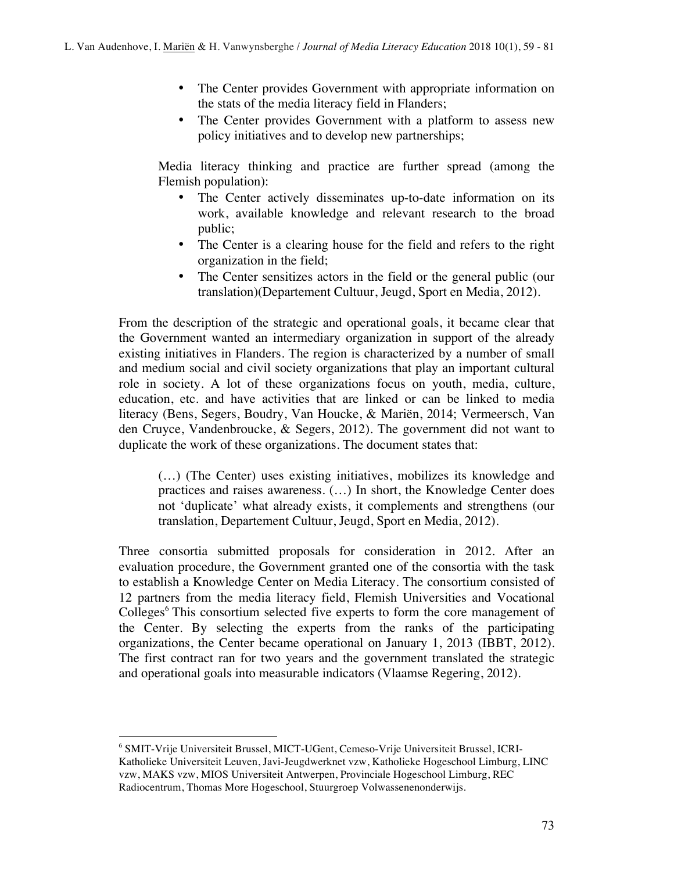- The Center provides Government with appropriate information on the stats of the media literacy field in Flanders;
- The Center provides Government with a platform to assess new policy initiatives and to develop new partnerships;

Media literacy thinking and practice are further spread (among the Flemish population):

- The Center actively disseminates up-to-date information on its work, available knowledge and relevant research to the broad public;
- The Center is a clearing house for the field and refers to the right organization in the field;
- The Center sensitizes actors in the field or the general public (our translation)(Departement Cultuur, Jeugd, Sport en Media, 2012).

From the description of the strategic and operational goals, it became clear that the Government wanted an intermediary organization in support of the already existing initiatives in Flanders. The region is characterized by a number of small and medium social and civil society organizations that play an important cultural role in society. A lot of these organizations focus on youth, media, culture, education, etc. and have activities that are linked or can be linked to media literacy (Bens, Segers, Boudry, Van Houcke, & Mariën, 2014; Vermeersch, Van den Cruyce, Vandenbroucke, & Segers, 2012). The government did not want to duplicate the work of these organizations. The document states that:

(…) (The Center) uses existing initiatives, mobilizes its knowledge and practices and raises awareness. (…) In short, the Knowledge Center does not 'duplicate' what already exists, it complements and strengthens (our translation, Departement Cultuur, Jeugd, Sport en Media, 2012).

Three consortia submitted proposals for consideration in 2012. After an evaluation procedure, the Government granted one of the consortia with the task to establish a Knowledge Center on Media Literacy. The consortium consisted of 12 partners from the media literacy field, Flemish Universities and Vocational Colleges<sup>6</sup> This consortium selected five experts to form the core management of the Center. By selecting the experts from the ranks of the participating organizations, the Center became operational on January 1, 2013 (IBBT, 2012). The first contract ran for two years and the government translated the strategic and operational goals into measurable indicators (Vlaamse Regering, 2012).

 $\overline{a}$ <sup>6</sup> SMIT-Vrije Universiteit Brussel, MICT-UGent, Cemeso-Vrije Universiteit Brussel, ICRI-Katholieke Universiteit Leuven, Javi-Jeugdwerknet vzw, Katholieke Hogeschool Limburg, LINC vzw, MAKS vzw, MIOS Universiteit Antwerpen, Provinciale Hogeschool Limburg, REC Radiocentrum, Thomas More Hogeschool, Stuurgroep Volwassenenonderwijs.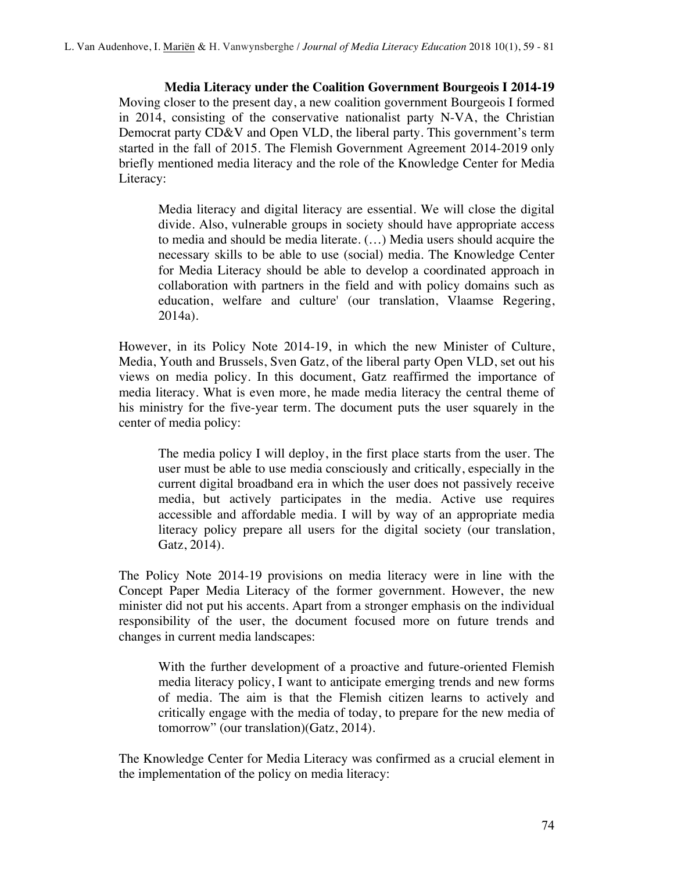**Media Literacy under the Coalition Government Bourgeois I 2014-19**  Moving closer to the present day, a new coalition government Bourgeois I formed in 2014, consisting of the conservative nationalist party N-VA, the Christian Democrat party CD&V and Open VLD, the liberal party. This government's term started in the fall of 2015. The Flemish Government Agreement 2014-2019 only briefly mentioned media literacy and the role of the Knowledge Center for Media Literacy:

Media literacy and digital literacy are essential. We will close the digital divide. Also, vulnerable groups in society should have appropriate access to media and should be media literate. (…) Media users should acquire the necessary skills to be able to use (social) media. The Knowledge Center for Media Literacy should be able to develop a coordinated approach in collaboration with partners in the field and with policy domains such as education, welfare and culture' (our translation, Vlaamse Regering, 2014a).

However, in its Policy Note 2014-19, in which the new Minister of Culture, Media, Youth and Brussels, Sven Gatz, of the liberal party Open VLD, set out his views on media policy. In this document, Gatz reaffirmed the importance of media literacy. What is even more, he made media literacy the central theme of his ministry for the five-year term*.* The document puts the user squarely in the center of media policy:

The media policy I will deploy, in the first place starts from the user. The user must be able to use media consciously and critically, especially in the current digital broadband era in which the user does not passively receive media, but actively participates in the media. Active use requires accessible and affordable media. I will by way of an appropriate media literacy policy prepare all users for the digital society (our translation, Gatz, 2014).

The Policy Note 2014-19 provisions on media literacy were in line with the Concept Paper Media Literacy of the former government. However, the new minister did not put his accents. Apart from a stronger emphasis on the individual responsibility of the user, the document focused more on future trends and changes in current media landscapes:

With the further development of a proactive and future-oriented Flemish media literacy policy, I want to anticipate emerging trends and new forms of media. The aim is that the Flemish citizen learns to actively and critically engage with the media of today, to prepare for the new media of tomorrow" (our translation)(Gatz, 2014).

The Knowledge Center for Media Literacy was confirmed as a crucial element in the implementation of the policy on media literacy: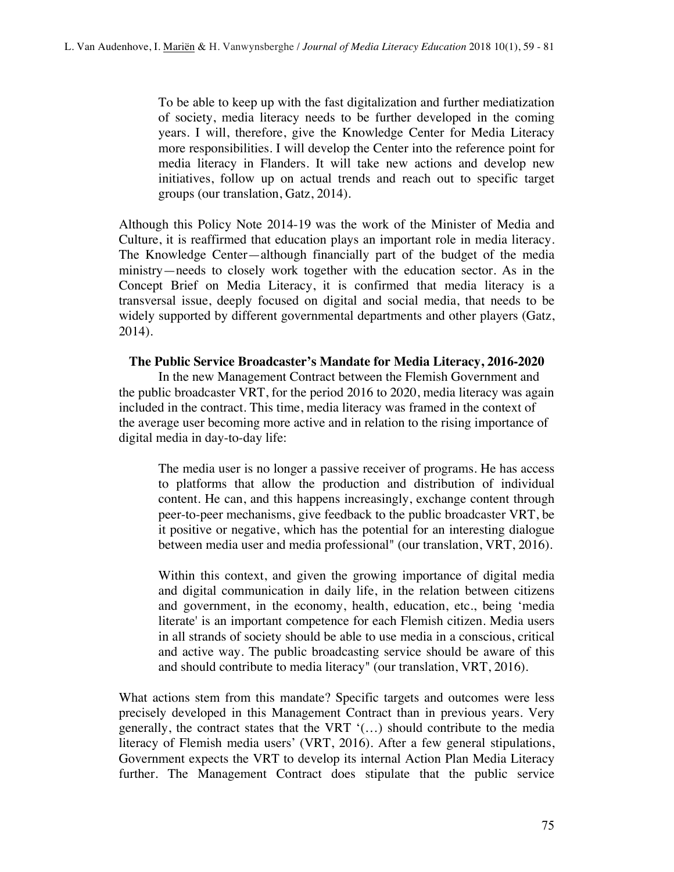To be able to keep up with the fast digitalization and further mediatization of society, media literacy needs to be further developed in the coming years. I will, therefore, give the Knowledge Center for Media Literacy more responsibilities. I will develop the Center into the reference point for media literacy in Flanders. It will take new actions and develop new initiatives, follow up on actual trends and reach out to specific target groups (our translation, Gatz, 2014).

Although this Policy Note 2014-19 was the work of the Minister of Media and Culture, it is reaffirmed that education plays an important role in media literacy. The Knowledge Center—although financially part of the budget of the media ministry—needs to closely work together with the education sector. As in the Concept Brief on Media Literacy, it is confirmed that media literacy is a transversal issue, deeply focused on digital and social media, that needs to be widely supported by different governmental departments and other players (Gatz, 2014).

### **The Public Service Broadcaster's Mandate for Media Literacy, 2016-2020**

In the new Management Contract between the Flemish Government and the public broadcaster VRT, for the period 2016 to 2020, media literacy was again included in the contract. This time, media literacy was framed in the context of the average user becoming more active and in relation to the rising importance of digital media in day-to-day life:

The media user is no longer a passive receiver of programs. He has access to platforms that allow the production and distribution of individual content. He can, and this happens increasingly, exchange content through peer-to-peer mechanisms, give feedback to the public broadcaster VRT, be it positive or negative, which has the potential for an interesting dialogue between media user and media professional" (our translation, VRT, 2016).

Within this context, and given the growing importance of digital media and digital communication in daily life, in the relation between citizens and government, in the economy, health, education, etc., being 'media literate' is an important competence for each Flemish citizen. Media users in all strands of society should be able to use media in a conscious, critical and active way. The public broadcasting service should be aware of this and should contribute to media literacy" (our translation, VRT, 2016).

What actions stem from this mandate? Specific targets and outcomes were less precisely developed in this Management Contract than in previous years. Very generally, the contract states that the VRT '(…) should contribute to the media literacy of Flemish media users' (VRT, 2016). After a few general stipulations, Government expects the VRT to develop its internal Action Plan Media Literacy further*.* The Management Contract does stipulate that the public service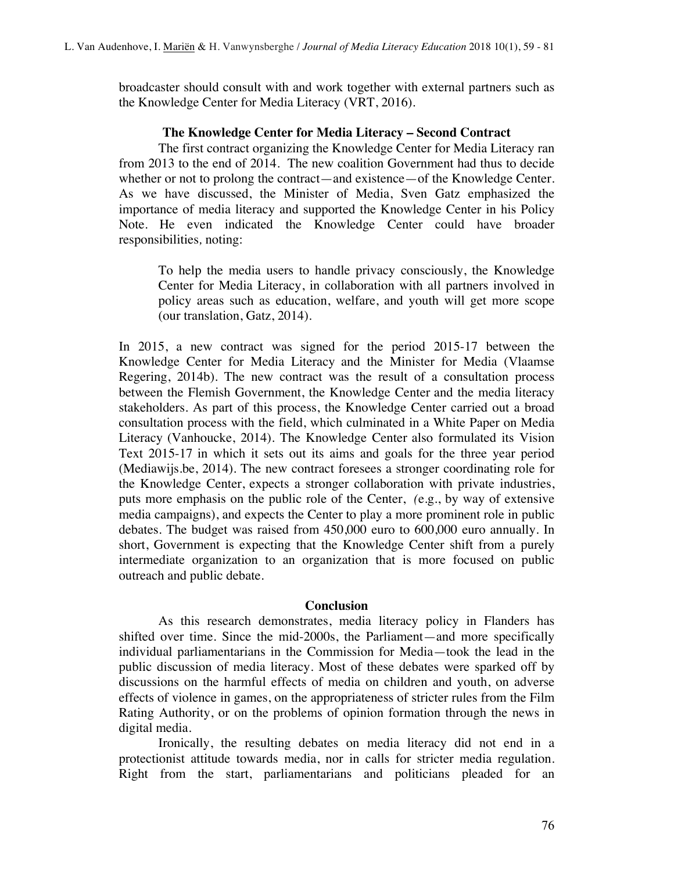broadcaster should consult with and work together with external partners such as the Knowledge Center for Media Literacy (VRT, 2016).

### **The Knowledge Center for Media Literacy – Second Contract**

The first contract organizing the Knowledge Center for Media Literacy ran from 2013 to the end of 2014. The new coalition Government had thus to decide whether or not to prolong the contract—and existence—of the Knowledge Center. As we have discussed, the Minister of Media, Sven Gatz emphasized the importance of media literacy and supported the Knowledge Center in his Policy Note. He even indicated the Knowledge Center could have broader responsibilities*,* noting:

To help the media users to handle privacy consciously, the Knowledge Center for Media Literacy, in collaboration with all partners involved in policy areas such as education, welfare, and youth will get more scope (our translation, Gatz, 2014).

In 2015, a new contract was signed for the period 2015-17 between the Knowledge Center for Media Literacy and the Minister for Media (Vlaamse Regering, 2014b). The new contract was the result of a consultation process between the Flemish Government, the Knowledge Center and the media literacy stakeholders. As part of this process, the Knowledge Center carried out a broad consultation process with the field, which culminated in a White Paper on Media Literacy (Vanhoucke, 2014). The Knowledge Center also formulated its Vision Text 2015-17 in which it sets out its aims and goals for the three year period (Mediawijs.be, 2014). The new contract foresees a stronger coordinating role for the Knowledge Center, expects a stronger collaboration with private industries, puts more emphasis on the public role of the Center, *(*e.g., by way of extensive media campaigns), and expects the Center to play a more prominent role in public debates. The budget was raised from 450,000 euro to 600,000 euro annually. In short, Government is expecting that the Knowledge Center shift from a purely intermediate organization to an organization that is more focused on public outreach and public debate.

## **Conclusion**

As this research demonstrates, media literacy policy in Flanders has shifted over time. Since the mid-2000s, the Parliament—and more specifically individual parliamentarians in the Commission for Media—took the lead in the public discussion of media literacy. Most of these debates were sparked off by discussions on the harmful effects of media on children and youth, on adverse effects of violence in games, on the appropriateness of stricter rules from the Film Rating Authority, or on the problems of opinion formation through the news in digital media.

Ironically, the resulting debates on media literacy did not end in a protectionist attitude towards media, nor in calls for stricter media regulation. Right from the start, parliamentarians and politicians pleaded for an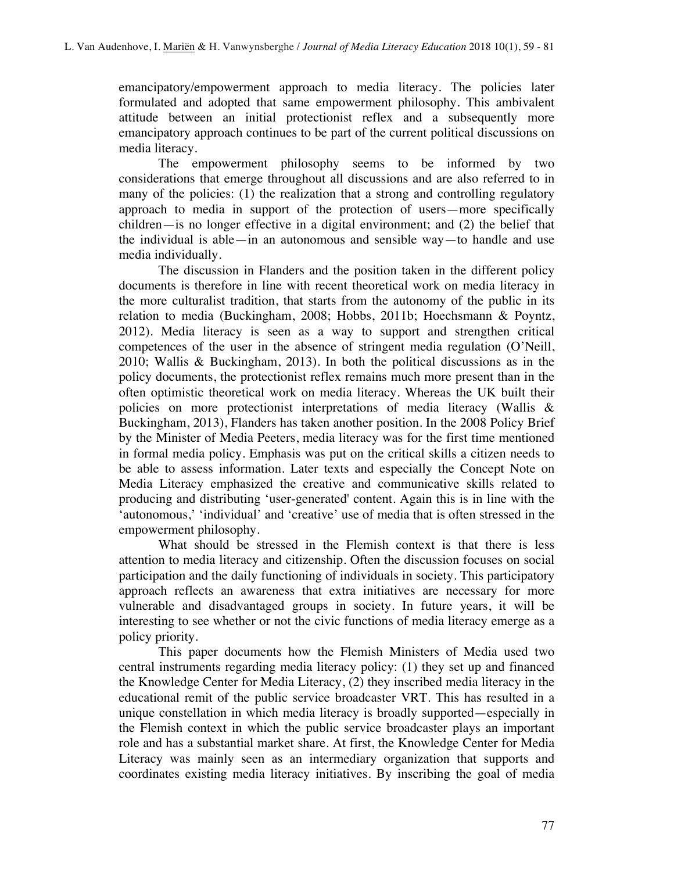emancipatory/empowerment approach to media literacy. The policies later formulated and adopted that same empowerment philosophy. This ambivalent attitude between an initial protectionist reflex and a subsequently more emancipatory approach continues to be part of the current political discussions on media literacy.

The empowerment philosophy seems to be informed by two considerations that emerge throughout all discussions and are also referred to in many of the policies: (1) the realization that a strong and controlling regulatory approach to media in support of the protection of users—more specifically children—is no longer effective in a digital environment; and (2) the belief that the individual is able—in an autonomous and sensible way—to handle and use media individually.

The discussion in Flanders and the position taken in the different policy documents is therefore in line with recent theoretical work on media literacy in the more culturalist tradition, that starts from the autonomy of the public in its relation to media (Buckingham, 2008; Hobbs, 2011b; Hoechsmann & Poyntz, 2012). Media literacy is seen as a way to support and strengthen critical competences of the user in the absence of stringent media regulation (O'Neill, 2010; Wallis & Buckingham, 2013). In both the political discussions as in the policy documents, the protectionist reflex remains much more present than in the often optimistic theoretical work on media literacy. Whereas the UK built their policies on more protectionist interpretations of media literacy (Wallis & Buckingham, 2013), Flanders has taken another position. In the 2008 Policy Brief by the Minister of Media Peeters, media literacy was for the first time mentioned in formal media policy. Emphasis was put on the critical skills a citizen needs to be able to assess information. Later texts and especially the Concept Note on Media Literacy emphasized the creative and communicative skills related to producing and distributing 'user-generated' content. Again this is in line with the 'autonomous,' 'individual' and 'creative' use of media that is often stressed in the empowerment philosophy.

What should be stressed in the Flemish context is that there is less attention to media literacy and citizenship. Often the discussion focuses on social participation and the daily functioning of individuals in society. This participatory approach reflects an awareness that extra initiatives are necessary for more vulnerable and disadvantaged groups in society. In future years, it will be interesting to see whether or not the civic functions of media literacy emerge as a policy priority.

This paper documents how the Flemish Ministers of Media used two central instruments regarding media literacy policy: (1) they set up and financed the Knowledge Center for Media Literacy, (2) they inscribed media literacy in the educational remit of the public service broadcaster VRT. This has resulted in a unique constellation in which media literacy is broadly supported—especially in the Flemish context in which the public service broadcaster plays an important role and has a substantial market share. At first, the Knowledge Center for Media Literacy was mainly seen as an intermediary organization that supports and coordinates existing media literacy initiatives. By inscribing the goal of media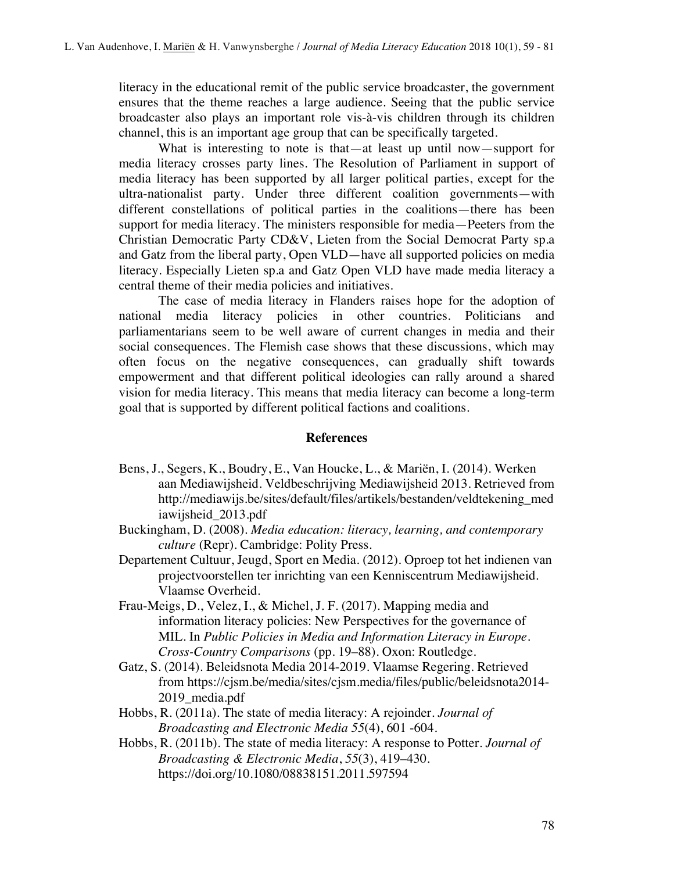literacy in the educational remit of the public service broadcaster, the government ensures that the theme reaches a large audience. Seeing that the public service broadcaster also plays an important role vis-à-vis children through its children channel, this is an important age group that can be specifically targeted.

What is interesting to note is that—at least up until now—support for media literacy crosses party lines. The Resolution of Parliament in support of media literacy has been supported by all larger political parties, except for the ultra-nationalist party. Under three different coalition governments—with different constellations of political parties in the coalitions—there has been support for media literacy. The ministers responsible for media—Peeters from the Christian Democratic Party CD&V, Lieten from the Social Democrat Party sp.a and Gatz from the liberal party, Open VLD—have all supported policies on media literacy. Especially Lieten sp.a and Gatz Open VLD have made media literacy a central theme of their media policies and initiatives.

The case of media literacy in Flanders raises hope for the adoption of national media literacy policies in other countries. Politicians and parliamentarians seem to be well aware of current changes in media and their social consequences. The Flemish case shows that these discussions, which may often focus on the negative consequences, can gradually shift towards empowerment and that different political ideologies can rally around a shared vision for media literacy. This means that media literacy can become a long-term goal that is supported by different political factions and coalitions.

#### **References**

- Bens, J., Segers, K., Boudry, E., Van Houcke, L., & Mariën, I. (2014). Werken aan Mediawijsheid. Veldbeschrijving Mediawijsheid 2013. Retrieved from http://mediawijs.be/sites/default/files/artikels/bestanden/veldtekening\_med iawijsheid\_2013.pdf
- Buckingham, D. (2008). *Media education: literacy, learning, and contemporary culture* (Repr). Cambridge: Polity Press.
- Departement Cultuur, Jeugd, Sport en Media. (2012). Oproep tot het indienen van projectvoorstellen ter inrichting van een Kenniscentrum Mediawijsheid. Vlaamse Overheid.
- Frau-Meigs, D., Velez, I., & Michel, J. F. (2017). Mapping media and information literacy policies: New Perspectives for the governance of MIL. In *Public Policies in Media and Information Literacy in Europe. Cross-Country Comparisons* (pp. 19–88). Oxon: Routledge.
- Gatz, S. (2014). Beleidsnota Media 2014-2019. Vlaamse Regering. Retrieved from https://cjsm.be/media/sites/cjsm.media/files/public/beleidsnota2014- 2019 media.pdf
- Hobbs, R. (2011a). The state of media literacy: A rejoinder. *Journal of Broadcasting and Electronic Media 55*(4), 601 -604.
- Hobbs, R. (2011b). The state of media literacy: A response to Potter. *Journal of Broadcasting & Electronic Media*, *55*(3), 419–430. https://doi.org/10.1080/08838151.2011.597594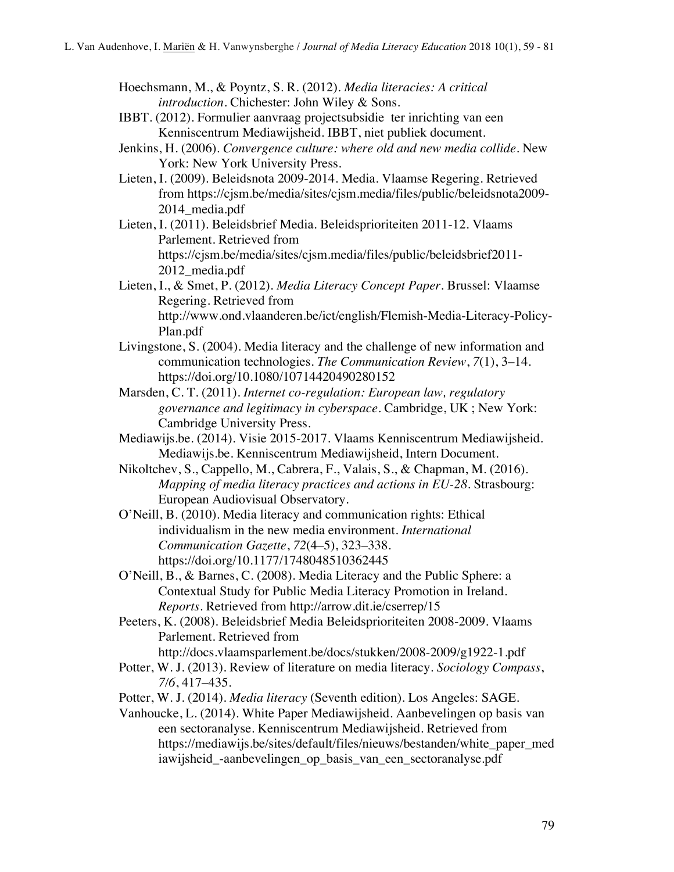- Hoechsmann, M., & Poyntz, S. R. (2012). *Media literacies: A critical introduction*. Chichester: John Wiley & Sons.
- IBBT. (2012). Formulier aanvraag projectsubsidie ter inrichting van een Kenniscentrum Mediawijsheid. IBBT, niet publiek document.
- Jenkins, H. (2006). *Convergence culture: where old and new media collide*. New York: New York University Press.
- Lieten, I. (2009). Beleidsnota 2009-2014. Media. Vlaamse Regering. Retrieved from https://cjsm.be/media/sites/cjsm.media/files/public/beleidsnota2009- 2014\_media.pdf
- Lieten, I. (2011). Beleidsbrief Media. Beleidsprioriteiten 2011-12. Vlaams Parlement. Retrieved from https://cjsm.be/media/sites/cjsm.media/files/public/beleidsbrief2011- 2012\_media.pdf
- Lieten, I., & Smet, P. (2012). *Media Literacy Concept Paper*. Brussel: Vlaamse Regering. Retrieved from http://www.ond.vlaanderen.be/ict/english/Flemish-Media-Literacy-Policy-Plan.pdf
- Livingstone, S. (2004). Media literacy and the challenge of new information and communication technologies. *The Communication Review*, *7*(1), 3–14. https://doi.org/10.1080/10714420490280152
- Marsden, C. T. (2011). *Internet co-regulation: European law, regulatory governance and legitimacy in cyberspace*. Cambridge, UK ; New York: Cambridge University Press.
- Mediawijs.be. (2014). Visie 2015-2017. Vlaams Kenniscentrum Mediawijsheid. Mediawijs.be. Kenniscentrum Mediawijsheid, Intern Document.
- Nikoltchev, S., Cappello, M., Cabrera, F., Valais, S., & Chapman, M. (2016). *Mapping of media literacy practices and actions in EU-28*. Strasbourg: European Audiovisual Observatory.
- O'Neill, B. (2010). Media literacy and communication rights: Ethical individualism in the new media environment. *International Communication Gazette*, *72*(4–5), 323–338. https://doi.org/10.1177/1748048510362445
- O'Neill, B., & Barnes, C. (2008). Media Literacy and the Public Sphere: a Contextual Study for Public Media Literacy Promotion in Ireland. *Reports*. Retrieved from http://arrow.dit.ie/cserrep/15
- Peeters, K. (2008). Beleidsbrief Media Beleidsprioriteiten 2008-2009. Vlaams Parlement. Retrieved from
- http://docs.vlaamsparlement.be/docs/stukken/2008-2009/g1922-1.pdf Potter, W. J. (2013). Review of literature on media literacy. *Sociology Compass*, *7/6*, 417–435.
- Potter, W. J. (2014). *Media literacy* (Seventh edition). Los Angeles: SAGE.
- Vanhoucke, L. (2014). White Paper Mediawijsheid. Aanbevelingen op basis van een sectoranalyse. Kenniscentrum Mediawijsheid. Retrieved from https://mediawijs.be/sites/default/files/nieuws/bestanden/white\_paper\_med iawijsheid\_-aanbevelingen\_op\_basis\_van\_een\_sectoranalyse.pdf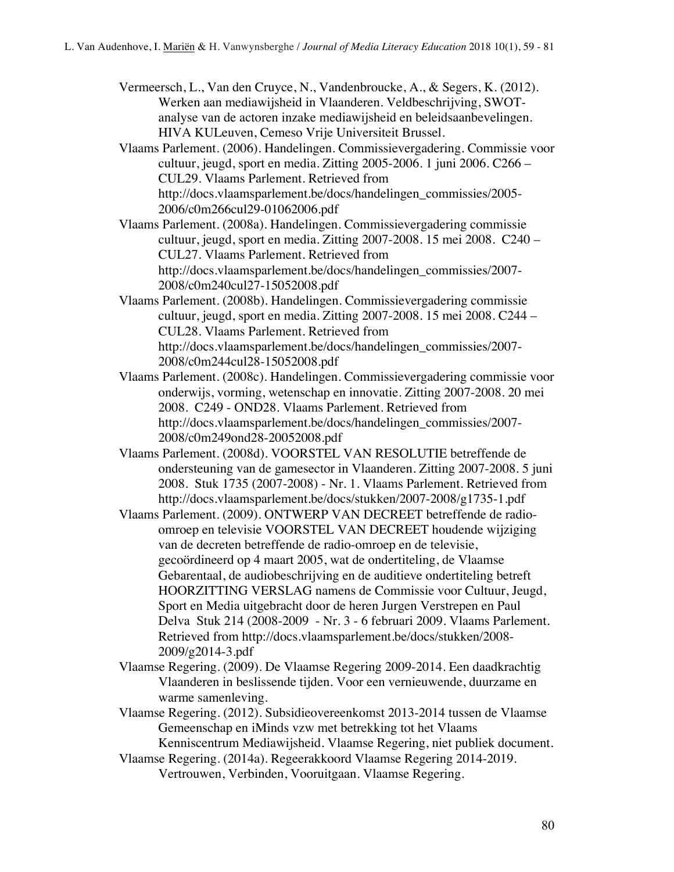Vermeersch, L., Van den Cruyce, N., Vandenbroucke, A., & Segers, K. (2012). Werken aan mediawijsheid in Vlaanderen. Veldbeschrijving, SWOTanalyse van de actoren inzake mediawijsheid en beleidsaanbevelingen. HIVA KULeuven, Cemeso Vrije Universiteit Brussel.

Vlaams Parlement. (2006). Handelingen. Commissievergadering. Commissie voor cultuur, jeugd, sport en media. Zitting 2005-2006. 1 juni 2006. C266 – CUL29. Vlaams Parlement. Retrieved from http://docs.vlaamsparlement.be/docs/handelingen\_commissies/2005- 2006/c0m266cul29-01062006.pdf

Vlaams Parlement. (2008a). Handelingen. Commissievergadering commissie cultuur, jeugd, sport en media. Zitting 2007-2008. 15 mei 2008. C240 – CUL27. Vlaams Parlement. Retrieved from http://docs.vlaamsparlement.be/docs/handelingen\_commissies/2007- 2008/c0m240cul27-15052008.pdf

- Vlaams Parlement. (2008b). Handelingen. Commissievergadering commissie cultuur, jeugd, sport en media. Zitting 2007-2008. 15 mei 2008. C244 – CUL28. Vlaams Parlement. Retrieved from http://docs.vlaamsparlement.be/docs/handelingen\_commissies/2007- 2008/c0m244cul28-15052008.pdf
- Vlaams Parlement. (2008c). Handelingen. Commissievergadering commissie voor onderwijs, vorming, wetenschap en innovatie. Zitting 2007-2008. 20 mei 2008. C249 - OND28. Vlaams Parlement. Retrieved from http://docs.vlaamsparlement.be/docs/handelingen\_commissies/2007- 2008/c0m249ond28-20052008.pdf
- Vlaams Parlement. (2008d). VOORSTEL VAN RESOLUTIE betreffende de ondersteuning van de gamesector in Vlaanderen. Zitting 2007-2008. 5 juni 2008. Stuk 1735 (2007-2008) - Nr. 1. Vlaams Parlement. Retrieved from http://docs.vlaamsparlement.be/docs/stukken/2007-2008/g1735-1.pdf
- Vlaams Parlement. (2009). ONTWERP VAN DECREET betreffende de radioomroep en televisie VOORSTEL VAN DECREET houdende wijziging van de decreten betreffende de radio-omroep en de televisie, gecoördineerd op 4 maart 2005, wat de ondertiteling, de Vlaamse Gebarentaal, de audiobeschrijving en de auditieve ondertiteling betreft HOORZITTING VERSLAG namens de Commissie voor Cultuur, Jeugd, Sport en Media uitgebracht door de heren Jurgen Verstrepen en Paul Delva Stuk 214 (2008-2009 - Nr. 3 - 6 februari 2009. Vlaams Parlement. Retrieved from http://docs.vlaamsparlement.be/docs/stukken/2008- 2009/g2014-3.pdf
- Vlaamse Regering. (2009). De Vlaamse Regering 2009-2014. Een daadkrachtig Vlaanderen in beslissende tijden. Voor een vernieuwende, duurzame en warme samenleving.
- Vlaamse Regering. (2012). Subsidieovereenkomst 2013-2014 tussen de Vlaamse Gemeenschap en iMinds vzw met betrekking tot het Vlaams Kenniscentrum Mediawijsheid. Vlaamse Regering, niet publiek document.
- Vlaamse Regering. (2014a). Regeerakkoord Vlaamse Regering 2014-2019. Vertrouwen, Verbinden, Vooruitgaan. Vlaamse Regering.